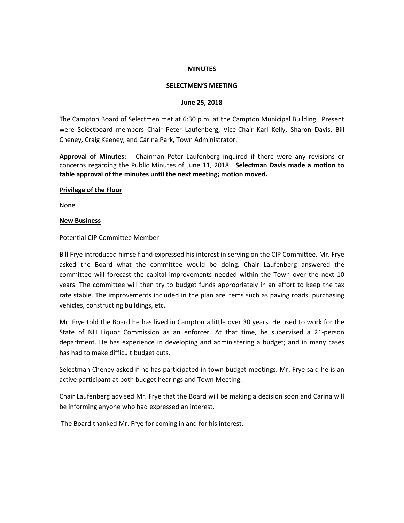#### **MINUTES**

#### **SELECTMEN'S MEETING**

#### **June 25, 2018**

The Campton Board of Selectmen met at 6:30 p.m. at the Campton Municipal Building. Present were Selectboard members Chair Peter Laufenberg, Vice-Chair Karl Kelly, Sharon Davis, Bill Cheney, Craig Keeney, and Carina Park, Town Administrator.

**Approval of Minutes:** Chairman Peter Laufenberg inquired if there were any revisions or concerns regarding the Public Minutes of June 11, 2018. **Selectman Davis made a motion to table approval of the minutes until the next meeting; motion moved.** 

#### **Privilege of the Floor**

None

#### **New Business**

#### Potential CIP Committee Member

Bill Frye introduced himself and expressed his interest in serving on the CIP Committee. Mr. Frye asked the Board what the committee would be doing. Chair Laufenberg answered the committee will forecast the capital improvements needed within the Town over the next 10 years. The committee will then try to budget funds appropriately in an effort to keep the tax rate stable. The improvements included in the plan are items such as paving roads, purchasing vehicles, constructing buildings, etc.

Mr. Frye told the Board he has lived in Campton a little over 30 years. He used to work for the State of NH Liquor Commission as an enforcer. At that time, he supervised a 21-person department. He has experience in developing and administering a budget; and in many cases has had to make difficult budget cuts.

Selectman Cheney asked if he has participated in town budget meetings. Mr. Frye said he is an active participant at both budget hearings and Town Meeting.

Chair Laufenberg advised Mr. Frye that the Board will be making a decision soon and Carina will be informing anyone who had expressed an interest.

The Board thanked Mr. Frye for coming in and for his interest.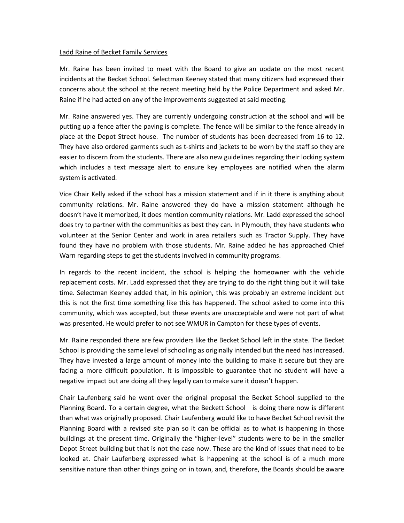## Ladd Raine of Becket Family Services

Mr. Raine has been invited to meet with the Board to give an update on the most recent incidents at the Becket School. Selectman Keeney stated that many citizens had expressed their concerns about the school at the recent meeting held by the Police Department and asked Mr. Raine if he had acted on any of the improvements suggested at said meeting.

Mr. Raine answered yes. They are currently undergoing construction at the school and will be putting up a fence after the paving is complete. The fence will be similar to the fence already in place at the Depot Street house. The number of students has been decreased from 16 to 12. They have also ordered garments such as t-shirts and jackets to be worn by the staff so they are easier to discern from the students. There are also new guidelines regarding their locking system which includes a text message alert to ensure key employees are notified when the alarm system is activated.

Vice Chair Kelly asked if the school has a mission statement and if in it there is anything about community relations. Mr. Raine answered they do have a mission statement although he doesn't have it memorized, it does mention community relations. Mr. Ladd expressed the school does try to partner with the communities as best they can. In Plymouth, they have students who volunteer at the Senior Center and work in area retailers such as Tractor Supply. They have found they have no problem with those students. Mr. Raine added he has approached Chief Warn regarding steps to get the students involved in community programs.

In regards to the recent incident, the school is helping the homeowner with the vehicle replacement costs. Mr. Ladd expressed that they are trying to do the right thing but it will take time. Selectman Keeney added that, in his opinion, this was probably an extreme incident but this is not the first time something like this has happened. The school asked to come into this community, which was accepted, but these events are unacceptable and were not part of what was presented. He would prefer to not see WMUR in Campton for these types of events.

Mr. Raine responded there are few providers like the Becket School left in the state. The Becket School is providing the same level of schooling as originally intended but the need has increased. They have invested a large amount of money into the building to make it secure but they are facing a more difficult population. It is impossible to guarantee that no student will have a negative impact but are doing all they legally can to make sure it doesn't happen.

Chair Laufenberg said he went over the original proposal the Becket School supplied to the Planning Board. To a certain degree, what the Beckett School is doing there now is different than what was originally proposed. Chair Laufenberg would like to have Becket School revisit the Planning Board with a revised site plan so it can be official as to what is happening in those buildings at the present time. Originally the "higher-level" students were to be in the smaller Depot Street building but that is not the case now. These are the kind of issues that need to be looked at. Chair Laufenberg expressed what is happening at the school is of a much more sensitive nature than other things going on in town, and, therefore, the Boards should be aware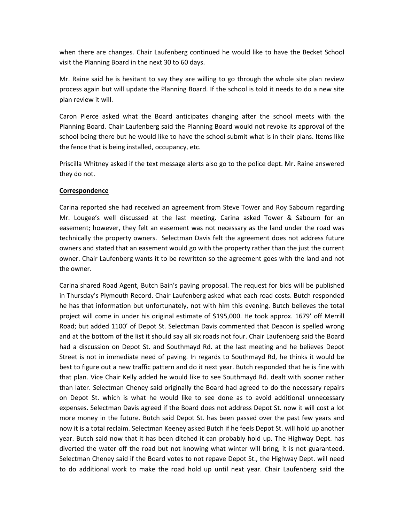when there are changes. Chair Laufenberg continued he would like to have the Becket School visit the Planning Board in the next 30 to 60 days.

Mr. Raine said he is hesitant to say they are willing to go through the whole site plan review process again but will update the Planning Board. If the school is told it needs to do a new site plan review it will.

Caron Pierce asked what the Board anticipates changing after the school meets with the Planning Board. Chair Laufenberg said the Planning Board would not revoke its approval of the school being there but he would like to have the school submit what is in their plans. Items like the fence that is being installed, occupancy, etc.

Priscilla Whitney asked if the text message alerts also go to the police dept. Mr. Raine answered they do not.

# **Correspondence**

Carina reported she had received an agreement from Steve Tower and Roy Sabourn regarding Mr. Lougee's well discussed at the last meeting. Carina asked Tower & Sabourn for an easement; however, they felt an easement was not necessary as the land under the road was technically the property owners. Selectman Davis felt the agreement does not address future owners and stated that an easement would go with the property rather than the just the current owner. Chair Laufenberg wants it to be rewritten so the agreement goes with the land and not the owner.

Carina shared Road Agent, Butch Bain's paving proposal. The request for bids will be published in Thursday's Plymouth Record. Chair Laufenberg asked what each road costs. Butch responded he has that information but unfortunately, not with him this evening. Butch believes the total project will come in under his original estimate of \$195,000. He took approx. 1679' off Merrill Road; but added 1100' of Depot St. Selectman Davis commented that Deacon is spelled wrong and at the bottom of the list it should say all six roads not four. Chair Laufenberg said the Board had a discussion on Depot St. and Southmayd Rd. at the last meeting and he believes Depot Street is not in immediate need of paving. In regards to Southmayd Rd, he thinks it would be best to figure out a new traffic pattern and do it next year. Butch responded that he is fine with that plan. Vice Chair Kelly added he would like to see Southmayd Rd. dealt with sooner rather than later. Selectman Cheney said originally the Board had agreed to do the necessary repairs on Depot St. which is what he would like to see done as to avoid additional unnecessary expenses. Selectman Davis agreed if the Board does not address Depot St. now it will cost a lot more money in the future. Butch said Depot St. has been passed over the past few years and now it is a total reclaim. Selectman Keeney asked Butch if he feels Depot St. will hold up another year. Butch said now that it has been ditched it can probably hold up. The Highway Dept. has diverted the water off the road but not knowing what winter will bring, it is not guaranteed. Selectman Cheney said if the Board votes to not repave Depot St., the Highway Dept. will need to do additional work to make the road hold up until next year. Chair Laufenberg said the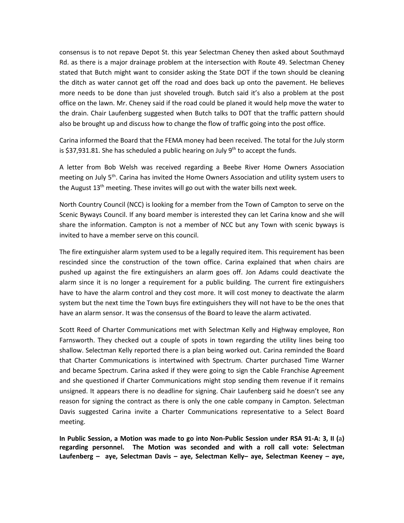consensus is to not repave Depot St. this year Selectman Cheney then asked about Southmayd Rd. as there is a major drainage problem at the intersection with Route 49. Selectman Cheney stated that Butch might want to consider asking the State DOT if the town should be cleaning the ditch as water cannot get off the road and does back up onto the pavement. He believes more needs to be done than just shoveled trough. Butch said it's also a problem at the post office on the lawn. Mr. Cheney said if the road could be planed it would help move the water to the drain. Chair Laufenberg suggested when Butch talks to DOT that the traffic pattern should also be brought up and discuss how to change the flow of traffic going into the post office.

Carina informed the Board that the FEMA money had been received. The total for the July storm is \$37,931.81. She has scheduled a public hearing on July  $9<sup>th</sup>$  to accept the funds.

A letter from Bob Welsh was received regarding a Beebe River Home Owners Association meeting on July 5<sup>th</sup>. Carina has invited the Home Owners Association and utility system users to the August  $13<sup>th</sup>$  meeting. These invites will go out with the water bills next week.

North Country Council (NCC) is looking for a member from the Town of Campton to serve on the Scenic Byways Council. If any board member is interested they can let Carina know and she will share the information. Campton is not a member of NCC but any Town with scenic byways is invited to have a member serve on this council.

The fire extinguisher alarm system used to be a legally required item. This requirement has been rescinded since the construction of the town office. Carina explained that when chairs are pushed up against the fire extinguishers an alarm goes off. Jon Adams could deactivate the alarm since it is no longer a requirement for a public building. The current fire extinguishers have to have the alarm control and they cost more. It will cost money to deactivate the alarm system but the next time the Town buys fire extinguishers they will not have to be the ones that have an alarm sensor. It was the consensus of the Board to leave the alarm activated.

Scott Reed of Charter Communications met with Selectman Kelly and Highway employee, Ron Farnsworth. They checked out a couple of spots in town regarding the utility lines being too shallow. Selectman Kelly reported there is a plan being worked out. Carina reminded the Board that Charter Communications is intertwined with Spectrum. Charter purchased Time Warner and became Spectrum. Carina asked if they were going to sign the Cable Franchise Agreement and she questioned if Charter Communications might stop sending them revenue if it remains unsigned. It appears there is no deadline for signing. Chair Laufenberg said he doesn't see any reason for signing the contract as there is only the one cable company in Campton. Selectman Davis suggested Carina invite a Charter Communications representative to a Select Board meeting.

**In Public Session, a Motion was made to go into Non-Public Session under RSA 91-A: 3, II (**a**) regarding personnel. The Motion was seconded and with a roll call vote: Selectman Laufenberg – aye, Selectman Davis – aye, Selectman Kelly– aye, Selectman Keeney – aye,**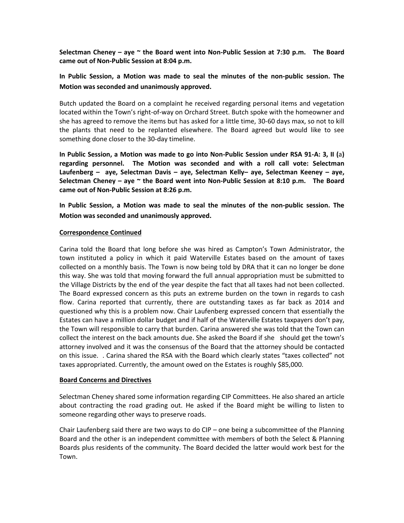**Selectman Cheney – aye ~ the Board went into Non-Public Session at 7:30 p.m. The Board came out of Non-Public Session at 8:04 p.m.**

**In Public Session, a Motion was made to seal the minutes of the non-public session. The Motion was seconded and unanimously approved.** 

Butch updated the Board on a complaint he received regarding personal items and vegetation located within the Town's right-of-way on Orchard Street. Butch spoke with the homeowner and she has agreed to remove the items but has asked for a little time, 30-60 days max, so not to kill the plants that need to be replanted elsewhere. The Board agreed but would like to see something done closer to the 30-day timeline.

**In Public Session, a Motion was made to go into Non-Public Session under RSA 91-A: 3, II (**a**) regarding personnel. The Motion was seconded and with a roll call vote: Selectman Laufenberg – aye, Selectman Davis – aye, Selectman Kelly– aye, Selectman Keeney – aye, Selectman Cheney – aye ~ the Board went into Non-Public Session at 8:10 p.m. The Board came out of Non-Public Session at 8:26 p.m.**

**In Public Session, a Motion was made to seal the minutes of the non-public session. The Motion was seconded and unanimously approved.** 

## **Correspondence Continued**

Carina told the Board that long before she was hired as Campton's Town Administrator, the town instituted a policy in which it paid Waterville Estates based on the amount of taxes collected on a monthly basis. The Town is now being told by DRA that it can no longer be done this way. She was told that moving forward the full annual appropriation must be submitted to the Village Districts by the end of the year despite the fact that all taxes had not been collected. The Board expressed concern as this puts an extreme burden on the town in regards to cash flow. Carina reported that currently, there are outstanding taxes as far back as 2014 and questioned why this is a problem now. Chair Laufenberg expressed concern that essentially the Estates can have a million dollar budget and if half of the Waterville Estates taxpayers don't pay, the Town will responsible to carry that burden. Carina answered she was told that the Town can collect the interest on the back amounts due. She asked the Board if she should get the town's attorney involved and it was the consensus of the Board that the attorney should be contacted on this issue. . Carina shared the RSA with the Board which clearly states "taxes collected" not taxes appropriated. Currently, the amount owed on the Estates is roughly \$85,000.

## **Board Concerns and Directives**

Selectman Cheney shared some information regarding CIP Committees. He also shared an article about contracting the road grading out. He asked if the Board might be willing to listen to someone regarding other ways to preserve roads.

Chair Laufenberg said there are two ways to do CIP – one being a subcommittee of the Planning Board and the other is an independent committee with members of both the Select & Planning Boards plus residents of the community. The Board decided the latter would work best for the Town.